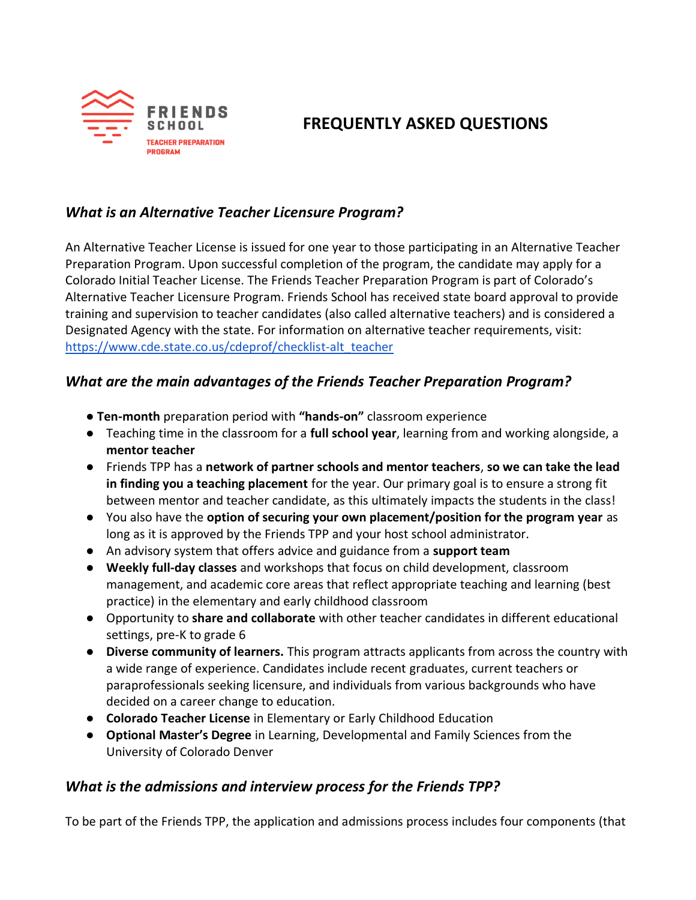

# **FREQUENTLY ASKED QUESTIONS**

### *What is an Alternative Teacher Licensure Program?*

An Alternative Teacher License is issued for one year to those participating in an Alternative Teacher Preparation Program. Upon successful completion of the program, the candidate may apply for a Colorado Initial Teacher License. The Friends Teacher Preparation Program is part of Colorado's Alternative Teacher Licensure Program. Friends School has received state board approval to provide training and supervision to teacher candidates (also called alternative teachers) and is considered a Designated Agency with the state. For information on alternative teacher requirements, visit: [https://www.cde.state.co.us/cdeprof/checklist-alt\\_teacher](https://www.cde.state.co.us/cdeprof/checklist-alt_teacher)

### *What are the main advantages of the Friends Teacher Preparation Program?*

- **Ten-month** preparation period with **"hands-on"** classroom experience
- Teaching time in the classroom for a **full school year**, learning from and working alongside, a **mentor teacher**
- Friends TPP has a **network of partner schools and mentor teachers**, **so we can take the lead in finding you a teaching placement** for the year. Our primary goal is to ensure a strong fit between mentor and teacher candidate, as this ultimately impacts the students in the class!
- You also have the **option of securing your own placement/position for the program year** as long as it is approved by the Friends TPP and your host school administrator.
- An advisory system that offers advice and guidance from a **support team**
- **Weekly full-day classes** and workshops that focus on child development, classroom management, and academic core areas that reflect appropriate teaching and learning (best practice) in the elementary and early childhood classroom
- Opportunity to **share and collaborate** with other teacher candidates in different educational settings, pre-K to grade 6
- **Diverse community of learners.** This program attracts applicants from across the country with a wide range of experience. Candidates include recent graduates, current teachers or paraprofessionals seeking licensure, and individuals from various backgrounds who have decided on a career change to education.
- **Colorado Teacher License** in Elementary or Early Childhood Education
- **Optional Master's Degree** in Learning, Developmental and Family Sciences from the University of Colorado Denver

## *What is the admissions and interview process for the Friends TPP?*

To be part of the Friends TPP, the application and admissions process includes four components (that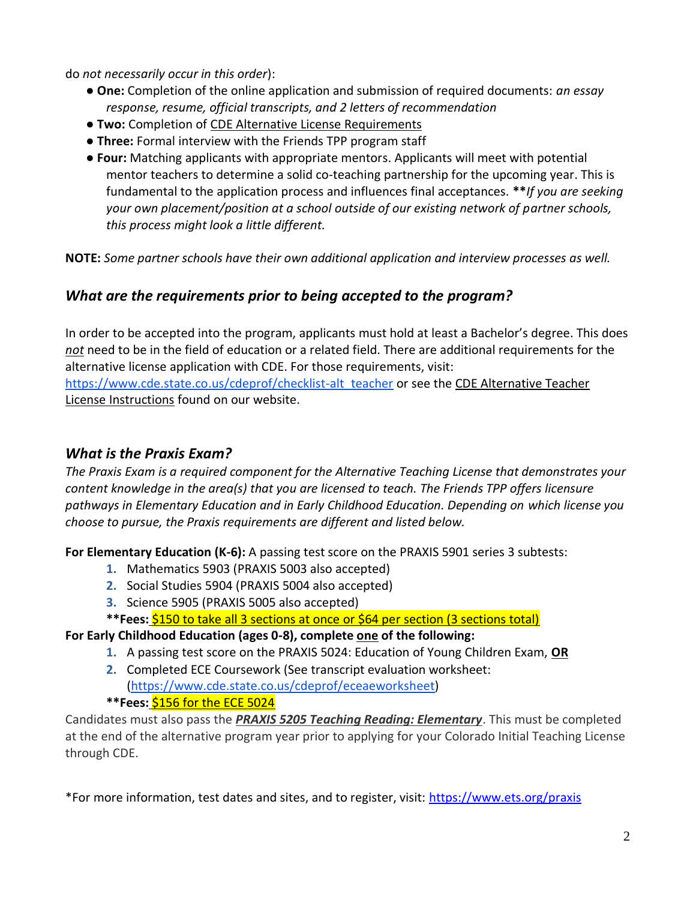do *not necessarily occur in this order*):

- **One:** Completion of the online application and submission of required documents: *an essay response, resume, official transcripts, and 2 letters of recommendation*
- **Two:** Completion of CDE Alternative License Requirements
- **Three:** Formal interview with the Friends TPP program staff
- **Four:** Matching applicants with appropriate mentors. Applicants will meet with potential mentor teachers to determine a solid co-teaching partnership for the upcoming year. This is fundamental to the application process and influences final acceptances. **\*\****If you are seeking your own placement/position at a school outside of our existing network of partner schools, this process might look a little different.*

**NOTE:** *Some partner schools have their own additional application and interview processes as well.*

## *What are the requirements prior to being accepted to the program?*

In order to be accepted into the program, applicants must hold at least a Bachelor's degree. This does *not* need to be in the field of education or a related field. There are additional requirements for the alternative license application with CDE. For those requirements, visit: [https://www.cde.state.co.us/cdeprof/checklist-alt\\_teacher](https://www.cde.state.co.us/cdeprof/checklist-alt_teacher) or see the CDE Alternative Teacher License Instructions found on our website.

## *What is the Praxis Exam?*

*The Praxis Exam is a required component for the Alternative Teaching License that demonstrates your content knowledge in the area(s) that you are licensed to teach. The Friends TPP offers licensure pathways in Elementary Education and in Early Childhood Education. Depending on which license you choose to pursue, the Praxis requirements are different and listed below.* 

**For Elementary Education (K-6):** A passing test score on the PRAXIS 5901 series 3 subtests:

- **1.** Mathematics 5903 (PRAXIS 5003 also accepted)
- **2.** Social Studies 5904 (PRAXIS 5004 also accepted)
- **3.** Science 5905 (PRAXIS 5005 also accepted)

**\*\*Fees:** \$150 to take all 3 sections at once or \$64 per section (3 sections total)

#### **For Early Childhood Education (ages 0-8), complete one of the following:**

- **1.** A passing test score on the PRAXIS 5024: Education of Young Children Exam, **OR**
- **2.** Completed ECE Coursework (See transcript evaluation worksheet: [\(https://www.cde.state.co.us/cdeprof/eceaeworksheet\)](https://www.cde.state.co.us/cdeprof/eceaeworksheet) **\*\*Fees:** \$156 for the ECE 5024

Candidates must also pass the *PRAXIS 5205 Teaching Reading: Elementary*. This must be completed at the end of the alternative program year prior to applying for your Colorado Initial Teaching License through CDE.

\*For more information, test dates and sites, and to register, visit:<https://www.ets.org/praxis>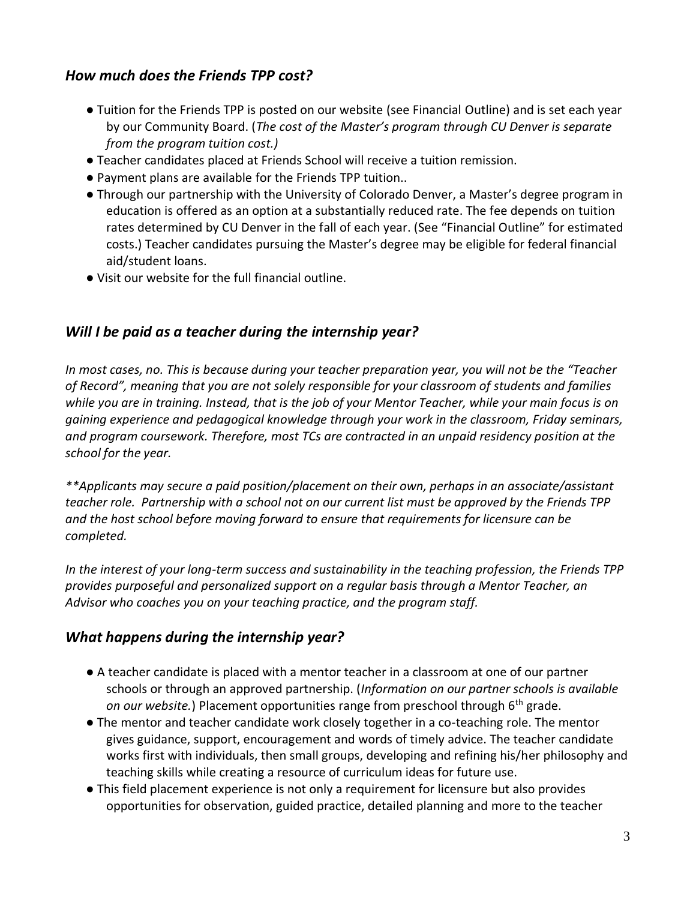### *How much does the Friends TPP cost?*

- Tuition for the Friends TPP is posted on our website (see Financial Outline) and is set each year by our Community Board. (*The cost of the Master's program through CU Denver is separate from the program tuition cost.)*
- Teacher candidates placed at Friends School will receive a tuition remission.
- Payment plans are available for the Friends TPP tuition..
- Through our partnership with the University of Colorado Denver, a Master's degree program in education is offered as an option at a substantially reduced rate. The fee depends on tuition rates determined by CU Denver in the fall of each year. (See "Financial Outline" for estimated costs.) Teacher candidates pursuing the Master's degree may be eligible for federal financial aid/student loans.
- Visit our website for the full financial outline.

## *Will I be paid as a teacher during the internship year?*

*In most cases, no. This is because during your teacher preparation year, you will not be the "Teacher of Record", meaning that you are not solely responsible for your classroom of students and families while you are in training. Instead, that is the job of your Mentor Teacher, while your main focus is on gaining experience and pedagogical knowledge through your work in the classroom, Friday seminars, and program coursework. Therefore, most TCs are contracted in an unpaid residency position at the school for the year.* 

*\*\*Applicants may secure a paid position/placement on their own, perhaps in an associate/assistant teacher role. Partnership with a school not on our current list must be approved by the Friends TPP and the host school before moving forward to ensure that requirements for licensure can be completed.*

*In the interest of your long-term success and sustainability in the teaching profession, the Friends TPP provides purposeful and personalized support on a regular basis through a Mentor Teacher, an Advisor who coaches you on your teaching practice, and the program staff.*

## *What happens during the internship year?*

- A teacher candidate is placed with a mentor teacher in a classroom at one of our partner schools or through an approved partnership. (*Information on our partner schools is available on our website.*) Placement opportunities range from preschool through 6th grade.
- The mentor and teacher candidate work closely together in a co-teaching role. The mentor gives guidance, support, encouragement and words of timely advice. The teacher candidate works first with individuals, then small groups, developing and refining his/her philosophy and teaching skills while creating a resource of curriculum ideas for future use.
- This field placement experience is not only a requirement for licensure but also provides opportunities for observation, guided practice, detailed planning and more to the teacher